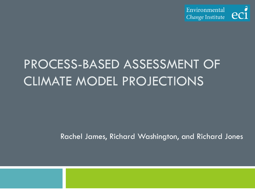

# PROCESS-BASED ASSESSMENT OF CLIMATE MODEL PROJECTIONS

Rachel James, Richard Washington, and Richard Jones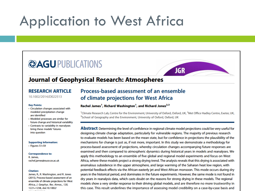## Application to West Africa

## **@AGUPUBLICATIONS**

# **JGR**

## **Journal of Geophysical Research: Atmospheres**

#### **RESEARCH ARTICLE** 10.1002/2014JD022513

#### **Key Points:**

- Circulation changes associated with modeled precipitation change are identified
- Modeled processes are similar for future change and historical variability
- Contrasts to variability in reanalyses bring these models' futures into question

#### **Supporting Information:**

· Figures S1-S9

#### **Correspondence to:**

R. James. rachel.james@ouce.ox.ac.uk

#### **Citation:**

James, R., R. Washington, and R. Jones (2015), Process-based assessment of an ensemble of climate projections for West Africa, J. Geophys. Res. Atmos., 120, 1221-1238, doi:10.1002/

## Process-based assessment of an ensemble of climate projections for West Africa

#### Rachel James<sup>1</sup>, Richard Washington<sup>1</sup>, and Richard Jones<sup>2,3</sup>

<sup>1</sup>Climate Research Lab, Centre for the Environment, University of Oxford, Oxford, UK, <sup>2</sup>Met Office Hadley Centre, Exeter, UK, <sup>3</sup>School of Geography and the Environment, University of Oxford, Oxford, UK

Abstract Determining the level of confidence in regional climate model projections could be very useful for designing climate change adaptation, particularly for vulnerable regions. The majority of previous research to evaluate models has been based on the mean state, but for confidence in projections the plausibility of the mechanisms for change is just as, if not more, important. In this study we demonstrate a methodology for process-based assessment of projections, whereby circulation changes accompanying future responses are examined and then compared to atmospheric dynamics during historical years in models and reanalyses. We apply this methodology to an ensemble of five global and regional model experiments and focus on West Africa, where these models project a strong drying trend. The analysis reveals that this drying is associated with anomalous subsidence in the upper atmosphere, and large warming of the Saharan heat low region, with potential feedback effects via the African easterly jet and West African monsoon. This mode occurs during dry years in the historical period, and dominates in the future experiments. However, the same mode is not found in dry years in reanalysis data, which casts doubt on the reasons for strong drying in these models. The regional models show a very similar response to their driving global models, and are therefore no more trustworthy in this case. This result underlines the importance of assessing model credibility on a case-by-case basis and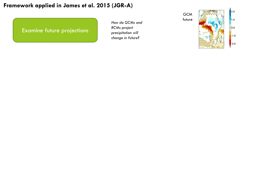Examine future projections

*How do GCMs and RCMs project precipitation will change in future?*



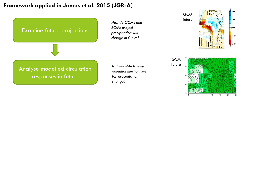

 $15$ 

20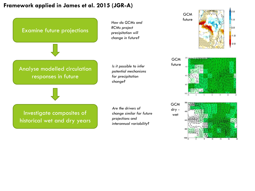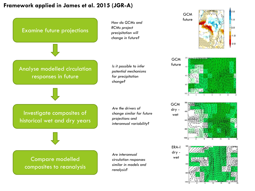